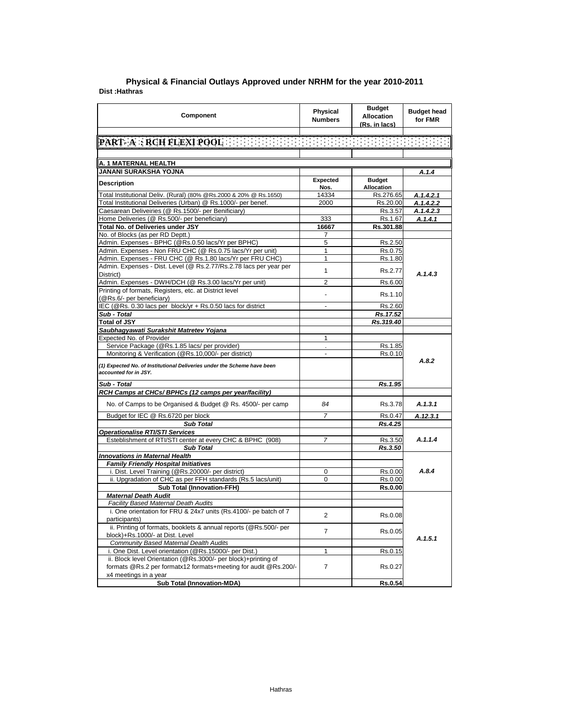| Component                                                                                                       | Physical<br><b>Numbers</b> | <b>Budget</b><br><b>Allocation</b><br>(Rs. in lacs) | <b>Budget head</b><br>for FMR |
|-----------------------------------------------------------------------------------------------------------------|----------------------------|-----------------------------------------------------|-------------------------------|
|                                                                                                                 |                            |                                                     |                               |
| <b>PART-A: RCH FLEXI POOL</b> $\{ \{ \} \}$ . The statistic statistics of                                       |                            |                                                     |                               |
|                                                                                                                 |                            |                                                     |                               |
| A. 1 MATERNAL HEALTH                                                                                            |                            |                                                     |                               |
| JANANI SURAKSHA YOJNA                                                                                           |                            |                                                     | A.1.4                         |
| Description                                                                                                     | Expected                   | <b>Budget</b>                                       |                               |
|                                                                                                                 | Nos.                       | Allocation                                          |                               |
| Total Institutional Deliv. (Rural) (80% @Rs.2000 & 20% @ Rs.1650)                                               | 14334                      | Rs.276.65                                           | A.1.4.2.1                     |
| Total Institutional Deliveries (Urban) @ Rs.1000/- per benef.                                                   | 2000                       | Rs.20.00                                            | A.1.4.2.2                     |
| Caesarean Deliveiries (@ Rs.1500/- per Benificiary)                                                             |                            | Rs.3.57                                             | A.1.4.2.3                     |
| Home Deliveries (@ Rs.500/- per beneficiary)                                                                    | 333                        | Rs.1.67                                             | A.1.4.1                       |
| Total No. of Deliveries under JSY<br>No. of Blocks (as per RD Deptt.)                                           | 16667                      | Rs.301.88                                           |                               |
| Admin. Expenses - BPHC (@Rs.0.50 lacs/Yr per BPHC)                                                              | 7<br>5                     |                                                     |                               |
| Admin. Expenses - Non FRU CHC (@ Rs.0.75 lacs/Yr per unit)                                                      | 1                          | Rs.2.50<br>Rs.0.75                                  |                               |
| Admin. Expenses - FRU CHC (@ Rs.1.80 lacs/Yr per FRU CHC)                                                       | 1                          | Rs.1.80                                             |                               |
| Admin. Expenses - Dist. Level (@ Rs.2.77/Rs.2.78 lacs per year per                                              |                            |                                                     |                               |
| District)                                                                                                       | 1                          | Rs.2.77                                             | A.1.4.3                       |
| Admin. Expenses - DWH/DCH (@ Rs.3.00 lacs/Yr per unit)                                                          | 2                          | Rs.6.00                                             |                               |
| Printing of formats, Registers, etc. at District level                                                          |                            |                                                     |                               |
| (@Rs.6/- per beneficiary)                                                                                       | $\blacksquare$             | Rs.1.10                                             |                               |
| IEC (@Rs. 0.30 lacs per block/yr + Rs.0.50 lacs for district                                                    | $\overline{a}$             | Rs.2.60                                             |                               |
| Sub - Total                                                                                                     |                            | Rs.17.52                                            |                               |
| <b>Total of JSY</b>                                                                                             |                            | Rs.319.40                                           |                               |
| Saubhagyawati Surakshit Matretev Yojana                                                                         |                            |                                                     |                               |
| Expected No. of Provider                                                                                        | 1                          |                                                     |                               |
| Service Package (@Rs.1.85 lacs/ per provider)                                                                   | ¥.                         | Rs.1.85                                             |                               |
| Monitoring & Verification (@Rs.10,000/- per district)                                                           |                            | Rs.0.10                                             |                               |
| (1) Expected No. of Institutional Deliveries under the Scheme have been<br>accounted for in JSY.                |                            |                                                     | A.8.2                         |
| Sub - Total                                                                                                     |                            | Rs.1.95                                             |                               |
| RCH Camps at CHCs/ BPHCs (12 camps per year/facility)                                                           |                            |                                                     |                               |
| No. of Camps to be Organised & Budget @ Rs. 4500/- per camp                                                     | 84                         | Rs.3.78                                             | A.1.3.1                       |
| Budget for IEC @ Rs.6720 per block                                                                              | 7                          | Rs.0.47                                             | A.12.3.1                      |
| <b>Sub Total</b>                                                                                                |                            | Rs.4.25                                             |                               |
| <b>Operationalise RTI/STI Services</b>                                                                          |                            |                                                     |                               |
| Esteblishment of RTI/STI center at every CHC & BPHC (908)                                                       | 7                          | Rs.3.50                                             | A.1.1.4                       |
| <b>Sub Total</b>                                                                                                |                            | Rs.3.50                                             |                               |
| <b>Innovations in Maternal Health</b>                                                                           |                            |                                                     |                               |
| <b>Family Friendly Hospital Initiatives</b>                                                                     |                            |                                                     |                               |
| i. Dist. Level Training (@Rs.20000/- per district)                                                              | 0                          | Rs.0.00                                             | A.8.4                         |
| ii. Upgradation of CHC as per FFH standards (Rs.5 lacs/unit)                                                    | 0                          | Rs.0.00                                             |                               |
| <b>Sub Total (Innovation-FFH)</b>                                                                               |                            | <b>Rs.0.00</b>                                      |                               |
| <b>Maternal Death Audit</b>                                                                                     |                            |                                                     |                               |
| <b>Facility Based Maternal Death Audits</b><br>i. One orientation for FRU & 24x7 units (Rs.4100/- pe batch of 7 |                            |                                                     |                               |
| participants)                                                                                                   | 2                          | Rs.0.08                                             |                               |
| ii. Printing of formats, booklets & annual reports (@Rs.500/- per                                               |                            |                                                     |                               |
| block)+Rs.1000/- at Dist. Level                                                                                 | 7                          | Rs.0.05                                             |                               |
| <b>Community Based Maternal Dealth Audits</b>                                                                   |                            |                                                     | A.1.5.1                       |
| i. One Dist. Level orientation (@Rs.15000/- per Dist.)                                                          | 1                          | Rs.0.15                                             |                               |
| ii. Block level Orientation (@Rs.3000/- per block)+printing of                                                  |                            |                                                     |                               |
| formats @Rs.2 per formatx12 formats+meeting for audit @Rs.200/-                                                 | 7                          | Rs.0.27                                             |                               |
| x4 meetings in a year                                                                                           |                            |                                                     |                               |
| Sub Total (Innovation-MDA)                                                                                      |                            | Rs.0.54                                             |                               |

## **Dist :Hathras District : Agra Physical & Financial Outlays Approved under NRHM for the year 2010-2011**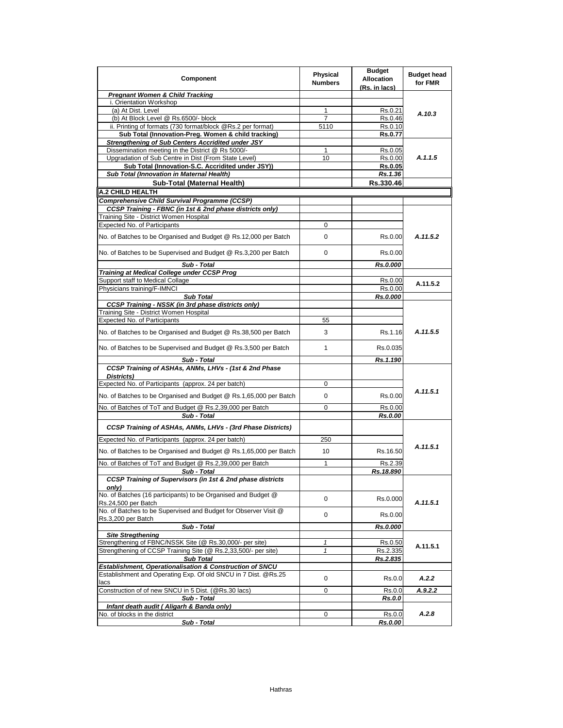| Component                                                                                                                  | <b>Physical</b><br><b>Numbers</b> | <b>Budget</b><br><b>Allocation</b><br>(Rs. in lacs) | <b>Budget head</b><br>for FMR |
|----------------------------------------------------------------------------------------------------------------------------|-----------------------------------|-----------------------------------------------------|-------------------------------|
| <b>Pregnant Women &amp; Child Tracking</b>                                                                                 |                                   |                                                     |                               |
| i. Orientation Workshop                                                                                                    |                                   |                                                     |                               |
| (a) At Dist. Level                                                                                                         | 1                                 | Rs.0.21                                             | A.10.3                        |
| (b) At Block Level @ Rs.6500/- block                                                                                       | 7                                 | Rs.0.46                                             |                               |
| ii. Printing of formats (730 format/block @Rs.2 per format)                                                                | 5110                              | Rs.0.10                                             |                               |
| Sub Total (Innovation-Preg. Women & child tracking)                                                                        |                                   | <b>Rs.0.77</b>                                      |                               |
| Strengthening of Sub Centers Accridited under JSY                                                                          |                                   |                                                     |                               |
| Dissemination meeting in the District @ Rs 5000/-                                                                          | 1                                 | Rs.0.05                                             | A.1.1.5                       |
| Upgradation of Sub Centre in Dist (From State Level)                                                                       | 10                                | Rs.0.00                                             |                               |
| Sub Total (Innovation-S.C. Accridited under JSY))<br>Sub Total (Innovation in Maternal Health)                             |                                   | <b>Rs.0.05</b><br>Rs.1.36                           |                               |
| Sub-Total (Maternal Health)                                                                                                |                                   | Rs.330.46                                           |                               |
|                                                                                                                            |                                   |                                                     |                               |
| A.2 CHILD HEALTH                                                                                                           |                                   |                                                     |                               |
| <b>Comprehensive Child Survival Programme (CCSP)</b>                                                                       |                                   |                                                     |                               |
| CCSP Training - FBNC (in 1st & 2nd phase districts only)                                                                   |                                   |                                                     |                               |
| Training Site - District Women Hospital<br><b>Expected No. of Participants</b>                                             |                                   |                                                     |                               |
|                                                                                                                            | 0                                 |                                                     |                               |
| No. of Batches to be Organised and Budget @ Rs.12,000 per Batch                                                            | 0                                 | Rs.0.00                                             | A.11.5.2                      |
| No. of Batches to be Supervised and Budget @ Rs.3,200 per Batch                                                            | 0                                 | Rs.0.00                                             |                               |
| Sub - Total                                                                                                                |                                   | Rs.0.000                                            |                               |
| Training at Medical College under CCSP Prog                                                                                |                                   |                                                     |                               |
| Support staff to Medical Collage                                                                                           |                                   | Rs.0.00                                             | A.11.5.2                      |
| Physicians training/F-IMNCI                                                                                                |                                   | Rs.0.00                                             |                               |
| <b>Sub Total</b>                                                                                                           |                                   | Rs.0.000                                            |                               |
| <b>CCSP Training - NSSK (in 3rd phase districts only)</b>                                                                  |                                   |                                                     |                               |
| Training Site - District Women Hospital                                                                                    |                                   |                                                     |                               |
| Expected No. of Participants                                                                                               | 55                                |                                                     |                               |
| No. of Batches to be Organised and Budget @ Rs.38,500 per Batch                                                            | 3                                 | Rs.1.16                                             | A.11.5.5                      |
| No. of Batches to be Supervised and Budget @ Rs.3,500 per Batch                                                            | $\mathbf{1}$                      | Rs.0.035                                            |                               |
| Sub - Total                                                                                                                |                                   | Rs.1.190                                            |                               |
| CCSP Training of ASHAs, ANMs, LHVs - (1st & 2nd Phase<br>Districts)                                                        |                                   |                                                     |                               |
| Expected No. of Participants (approx. 24 per batch)                                                                        | 0                                 |                                                     |                               |
| No. of Batches to be Organised and Budget @ Rs.1,65,000 per Batch                                                          | 0                                 | Rs.0.00                                             | A.11.5.1                      |
| No. of Batches of ToT and Budget @ Rs.2,39,000 per Batch                                                                   | 0                                 | Rs.0.00                                             |                               |
| Sub - Total                                                                                                                |                                   | <b>Rs.0.00</b>                                      |                               |
| CCSP Training of ASHAs, ANMs, LHVs - (3rd Phase Districts)                                                                 |                                   |                                                     |                               |
| Expected No. of Participants (approx. 24 per batch)                                                                        | 250                               |                                                     | A.11.5.1                      |
| No. of Batches to be Organised and Budget @ Rs.1,65,000 per Batch                                                          | 10                                | Rs.16.50                                            |                               |
| No. of Batches of ToT and Budget @ Rs.2,39,000 per Batch                                                                   | 1                                 | Rs.2.39                                             |                               |
| Sub - Total<br>CCSP Training of Supervisors (in 1st & 2nd phase districts                                                  |                                   | Rs.18.890                                           |                               |
| only)<br>No. of Batches (16 participants) to be Organised and Budget @                                                     | 0                                 | Rs.0.000                                            |                               |
| Rs.24,500 per Batch<br>No. of Batches to be Supervised and Budget for Observer Visit @                                     | 0                                 | Rs.0.00                                             | A.11.5.1                      |
| Rs.3,200 per Batch<br>Sub - Total                                                                                          |                                   | Rs.0.000                                            |                               |
| <b>Site Stregthening</b>                                                                                                   |                                   |                                                     |                               |
| Strengthening of FBNC/NSSK Site (@ Rs.30,000/- per site)                                                                   | 1                                 | Rs.0.50                                             | A.11.5.1                      |
| Strengthening of CCSP Training Site (@ Rs.2,33,500/- per site)                                                             | $\mathbf{1}$                      | Rs.2.335                                            |                               |
| <b>Sub Total</b>                                                                                                           |                                   | Rs.2.835                                            |                               |
| Establishment, Operationalisation & Construction of SNCU<br>Establishment and Operating Exp. Of old SNCU in 7 Dist. @Rs.25 |                                   |                                                     |                               |
| lacs                                                                                                                       | 0                                 | Rs.0.0                                              | A.2.2                         |
| Construction of of new SNCU in 5 Dist. (@Rs.30 lacs)                                                                       | 0                                 | Rs.0.0                                              | A.9.2.2                       |
| Sub - Total                                                                                                                |                                   | Rs.0.0                                              |                               |
| Infant death audit (Aligarh & Banda only)                                                                                  |                                   |                                                     |                               |
| No. of blocks in the district                                                                                              | 0                                 | Rs.0.0                                              | A.2.8                         |
| Sub - Total                                                                                                                |                                   | Rs.0.00                                             |                               |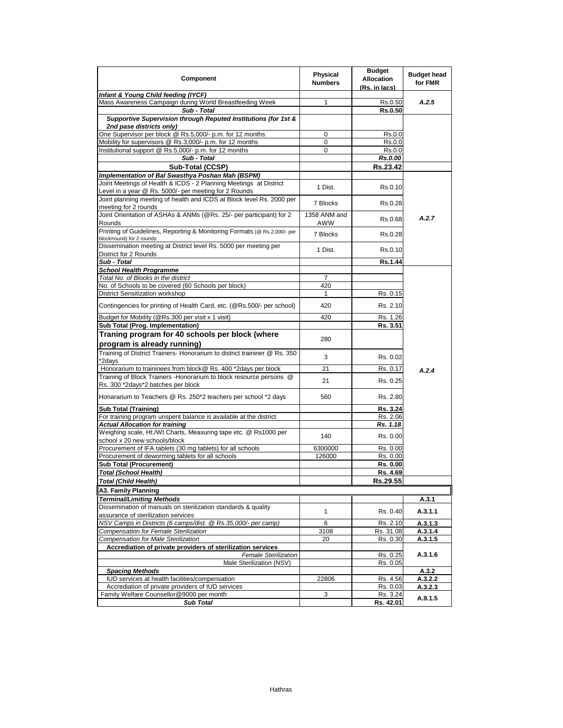| Component                                                                                                | Physical       | <b>Budget</b><br><b>Allocation</b> | <b>Budget head</b> |
|----------------------------------------------------------------------------------------------------------|----------------|------------------------------------|--------------------|
|                                                                                                          | <b>Numbers</b> | (Rs. in lacs)                      | for FMR            |
| Infant & Young Child feeding (IYCF)                                                                      |                |                                    |                    |
| Mass Awareness Campaign during World Breastfeeding Week                                                  | 1              | Rs.0.50                            | A.2.5              |
| Sub - Total                                                                                              |                | Rs.0.50                            |                    |
| Supportive Supervision through Reputed Institutions (for 1st &                                           |                |                                    |                    |
| 2nd pase districts only)<br>One Supervisor per block @ Rs.5,000/- p.m. for 12 months                     | 0              | Rs.0.0                             |                    |
| Mobility for supervisors @ Rs.3,000/- p.m. for 12 months                                                 | 0              | Rs.0.0                             |                    |
| Institutional support @ Rs.5,000/- p.m. for 12 months                                                    | 0              | Rs.0.0                             |                    |
| Sub - Total                                                                                              |                | Rs.0.00                            |                    |
| Sub-Total (CCSP)                                                                                         |                | Rs.23.42                           |                    |
| Implementation of Bal Swasthya Poshan Mah (BSPM)                                                         |                |                                    |                    |
| Joint Meetings of Health & ICDS - 2 Planning Meetings at District                                        |                |                                    |                    |
| Level in a year @ Rs. 5000/- per meeting for 2 Rounds                                                    | 1 Dist.        | Rs.0.10                            |                    |
| Joint planning meeting of health and ICDS at Block level Rs. 2000 per                                    | 7 Blocks       | Rs.0.28                            |                    |
| meeting for 2 rounds                                                                                     |                |                                    |                    |
| Joint Orientation of ASHAs & ANMs (@Rs. 25/- per participant) for 2                                      | 1358 ANM and   | Rs.0.68                            | A.2.7              |
| Rounds                                                                                                   | <b>AWW</b>     |                                    |                    |
| Printing of Guidelines, Reporting & Monitoring Formats (@ Rs.2,000/- per                                 | 7 Blocks       | Rs.0.28                            |                    |
| block/round) for 2 rounds                                                                                |                |                                    |                    |
| Dissemination meeting at District level Rs. 5000 per meeting per<br>District for 2 Rounds                | 1 Dist.        | Rs.0.10                            |                    |
| Sub - Total                                                                                              |                | Rs.1.44                            |                    |
| <b>School Health Programme</b>                                                                           |                |                                    |                    |
| Total No. of Blocks in the district                                                                      | 7              |                                    |                    |
| No. of Schools to be covered (60 Schools per block)                                                      | 420            |                                    |                    |
| District Sensitization workshop                                                                          | 1              | Rs. 0.15                           |                    |
|                                                                                                          |                |                                    |                    |
| Contingencies for printing of Health Card, etc. (@Rs.500/- per school)                                   | 420            | Rs. 2.10                           |                    |
| Budget for Mobility (@Rs.300 per visit x 1 visit)                                                        | 420            | Rs. 1.26                           |                    |
| Sub Total (Prog. Implementation)                                                                         |                | Rs. 3.51                           |                    |
| Traning program for 40 schools per block (where                                                          |                |                                    |                    |
| program is already running)                                                                              | 280            |                                    |                    |
| Training of District Trainers- Honorarium to district traininer @ Rs. 350                                |                |                                    |                    |
| *2days                                                                                                   | 3              | Rs. 0.02                           |                    |
| Honorarium to traininees from block@ Rs. 400 *2days per block                                            | 21             | Rs. 0.17                           | A.2.4              |
| Training of Block Trainers - Honorarium to block resource persons @                                      | 21             | Rs. 0.25                           |                    |
| Rs. 300 *2days*2 batches per block                                                                       |                |                                    |                    |
| Honararium to Teachers @ Rs. 250*2 teachers per school *2 days                                           | 560            | Rs. 2.80                           |                    |
|                                                                                                          |                |                                    |                    |
| <b>Sub Total (Training)</b>                                                                              |                | Rs. 3.24                           |                    |
| For training program unspent balance is available at the district                                        |                | Rs. 2.06                           |                    |
| <b>Actual Allocation for training</b><br>Weighing scale, Ht./Wt Charts, Measuring tape etc. @ Rs1000 per |                | Rs. 1.18                           |                    |
| school x 20 new schools/block                                                                            | 140            | Rs. 0.00                           |                    |
| Procurement of IFA tablets (30 mg tablets) for all schools                                               | 6300000        | Rs. 0.00                           |                    |
| Procurement of deworming tablets for all schools                                                         | 126000         | Rs. 0.00                           |                    |
| <b>Sub Total (Procurement)</b>                                                                           |                | Rs. 0.00                           |                    |
| Total (School Health)                                                                                    |                | Rs. 4.69                           |                    |
| <b>Total (Child Health)</b>                                                                              |                | Rs.29.55                           |                    |
| A3. Family Planning                                                                                      |                |                                    |                    |
| <b>Terminal/Limiting Methods</b>                                                                         |                |                                    | A.3.1              |
| Dissemination of manuals on sterilization standards & quality                                            |                |                                    |                    |
| assurance of sterilization services                                                                      | $\mathbf{1}$   | Rs. 0.40                           | A.3.1.1            |
| NSV Camps in Districts (6 camps/dist. @ Rs.35,000/- per camp)                                            | 6              | Rs. 2.10                           | A.3.1.3            |
| Compensation for Female Sterilization                                                                    | 3108           | Rs. 31.08                          | A.3.1.4            |
| <b>Compensation for Male Sterilization</b>                                                               | 20             | Rs. 0.30                           | A.3.1.5            |
| Accrediation of private providers of sterilization services                                              |                |                                    |                    |
| <b>Female Sterilization</b>                                                                              |                | Rs. 0.25                           | A.3.1.6            |
| Male Sterilization (NSV)                                                                                 |                | Rs. 0.05                           |                    |
| <b>Spacing Methods</b>                                                                                   |                |                                    | A.3.2              |
| IUD services at health facilities/compensation                                                           | 22806          | Rs. 4.56                           | A.3.2.2            |
| Accrediation of private providers of IUD services                                                        |                | Rs. 0.03                           | A.3.2.3            |
| Family Welfare Counsellor@9000 per month                                                                 | 3              | Rs. 3.24                           | A.9.1.5            |
| <b>Sub Total</b>                                                                                         |                | Rs. 42.01                          |                    |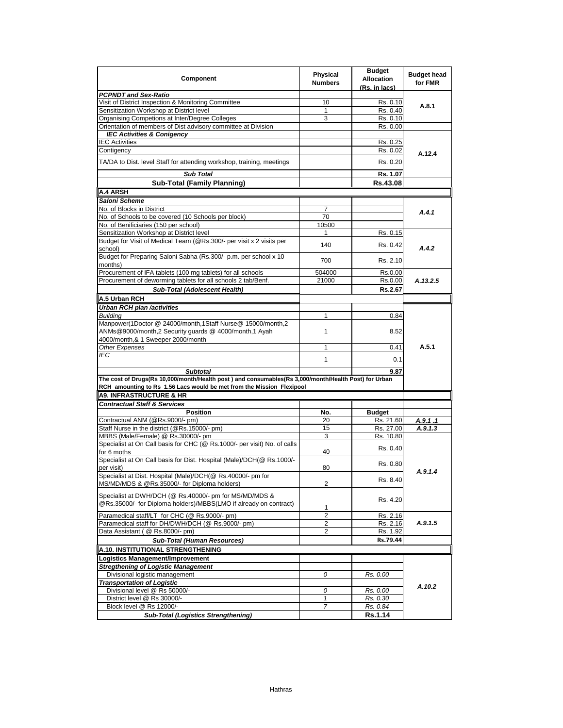| Component                                                                                                                                                                     | <b>Physical</b><br><b>Numbers</b> | <b>Budget</b><br><b>Allocation</b><br>(Rs. in lacs) | <b>Budget head</b><br>for FMR |
|-------------------------------------------------------------------------------------------------------------------------------------------------------------------------------|-----------------------------------|-----------------------------------------------------|-------------------------------|
| <b>PCPNDT and Sex-Ratio</b>                                                                                                                                                   |                                   |                                                     |                               |
| Visit of District Inspection & Monitoring Committee                                                                                                                           | 10                                | Rs. 0.10                                            | A.8.1                         |
| Sensitization Workshop at District level                                                                                                                                      | $\mathbf{1}$                      | Rs. 0.40                                            |                               |
| Organising Competions at Inter/Degree Colleges                                                                                                                                | 3                                 | Rs. 0.10                                            |                               |
| Orientation of members of Dist advisory committee at Division                                                                                                                 |                                   | Rs. 0.00                                            |                               |
| <b>IEC Activities &amp; Conigency</b>                                                                                                                                         |                                   |                                                     |                               |
| <b>IEC Activities</b>                                                                                                                                                         |                                   | Rs. 0.25                                            |                               |
| Contigency                                                                                                                                                                    |                                   | Rs. 0.02                                            | A.12.4                        |
| TA/DA to Dist. level Staff for attending workshop, training, meetings                                                                                                         |                                   | Rs. 0.20                                            |                               |
| <b>Sub Total</b>                                                                                                                                                              |                                   | Rs. 1.07                                            |                               |
| <b>Sub-Total (Family Planning)</b>                                                                                                                                            |                                   | Rs.43.08                                            |                               |
| <b>A.4 ARSH</b>                                                                                                                                                               |                                   |                                                     |                               |
| Saloni Scheme                                                                                                                                                                 |                                   |                                                     |                               |
| No. of Blocks in District                                                                                                                                                     | 7                                 |                                                     |                               |
| No. of Schools to be covered (10 Schools per block)                                                                                                                           | 70                                |                                                     | A.4.1                         |
| No. of Benificiaries (150 per school)                                                                                                                                         | 10500                             |                                                     |                               |
| Sensitization Workshop at District level                                                                                                                                      | 1                                 | Rs. 0.15                                            |                               |
| Budget for Visit of Medical Team (@Rs.300/- per visit x 2 visits per                                                                                                          |                                   |                                                     |                               |
| school)                                                                                                                                                                       | 140                               | Rs. 0.42                                            | A.4.2                         |
| Budget for Preparing Saloni Sabha (Rs.300/- p.m. per school x 10<br>months)                                                                                                   | 700                               | Rs. 2.10                                            |                               |
| Procurement of IFA tablets (100 mg tablets) for all schools                                                                                                                   | 504000                            | Rs.0.00                                             |                               |
| Procurement of deworming tablets for all schools 2 tab/Benf.                                                                                                                  | 21000                             | Rs.0.00                                             | A.13.2.5                      |
| Sub-Total (Adolescent Health)                                                                                                                                                 |                                   | Rs.2.67                                             |                               |
| A.5 Urban RCH                                                                                                                                                                 |                                   |                                                     |                               |
|                                                                                                                                                                               |                                   |                                                     |                               |
| Urban RCH plan /activities<br><b>Building</b>                                                                                                                                 | $\mathbf{1}$                      |                                                     |                               |
|                                                                                                                                                                               |                                   | 0.84                                                |                               |
| Manpower(1Doctor @ 24000/month,1Staff Nurse@ 15000/month,2<br>ANMs@9000/month,2 Security guards @ 4000/month,1 Ayah                                                           | 1                                 | 8.52                                                |                               |
| 4000/month,& 1 Sweeper 2000/month                                                                                                                                             |                                   |                                                     |                               |
| <b>Other Expenses</b>                                                                                                                                                         | 1                                 | 0.41                                                | A.5.1                         |
| <b>IEC</b>                                                                                                                                                                    | $\mathbf{1}$                      | 0.1                                                 |                               |
| <b>Subtotal</b>                                                                                                                                                               |                                   | 9.87                                                |                               |
| The cost of Drugs(Rs 10,000/month/Health post) and consumables(Rs 3,000/month/Health Post) for Urban<br>RCH amounting to Rs 1.56 Lacs would be met from the Mission Flexipool |                                   |                                                     |                               |
| <b>A9. INFRASTRUCTURE &amp; HR</b>                                                                                                                                            |                                   |                                                     |                               |
|                                                                                                                                                                               |                                   |                                                     |                               |
| <b>Contractual Staff &amp; Services</b>                                                                                                                                       |                                   |                                                     |                               |
| <b>Position</b>                                                                                                                                                               | No.                               | <b>Budget</b>                                       |                               |
| Contractual ANM (@Rs.9000/- pm)                                                                                                                                               | 20                                | Rs. 21.60                                           | A.9.1.1                       |
| Staff Nurse in the district (@Rs.15000/- pm)                                                                                                                                  | 15                                | Rs. 27.00                                           | A.9.1.3                       |
| MBBS (Male/Female) @ Rs.30000/- pm                                                                                                                                            | 3                                 | Rs. 10.80                                           |                               |
| Specialist at On Call basis for CHC (@ Rs.1000/- per visit) No. of calls<br>for 6 moths                                                                                       | 40                                | Rs. 0.40                                            |                               |
| Specialist at On Call basis for Dist. Hospital (Male)/DCH(@ Rs.1000/-                                                                                                         |                                   | Rs. 0.80                                            |                               |
| per visit)                                                                                                                                                                    | 80                                |                                                     | A.9.1.4                       |
| Specialist at Dist. Hospital (Male)/DCH(@ Rs.40000/- pm for<br>MS/MD/MDS & @Rs.35000/- for Diploma holders)                                                                   | 2                                 | Rs. 8.40                                            |                               |
| Specialist at DWH/DCH (@ Rs.40000/- pm for MS/MD/MDS &                                                                                                                        |                                   |                                                     |                               |
| @Rs.35000/- for Diploma holders)/MBBS(LMO if already on contract)                                                                                                             | 1                                 | Rs. 4.20                                            |                               |
| Paramedical staff/LT for CHC (@ Rs.9000/- pm)                                                                                                                                 | $\overline{2}$                    | Rs. 2.16                                            |                               |
| Paramedical staff for DH/DWH/DCH (@ Rs.9000/- pm)                                                                                                                             | 2                                 | Rs. 2.16                                            | A.9.1.5                       |
| Data Assistant ( @ Rs.8000/- pm)                                                                                                                                              | 2                                 | Rs. 1.92                                            |                               |
| <b>Sub-Total (Human Resources)</b>                                                                                                                                            |                                   | Rs.79.44                                            |                               |
|                                                                                                                                                                               |                                   |                                                     |                               |
| A.10. INSTITUTIONAL STRENGTHENING                                                                                                                                             |                                   |                                                     |                               |
| Logistics Management/Improvement                                                                                                                                              |                                   |                                                     |                               |
| <b>Stregthening of Logistic Management</b>                                                                                                                                    |                                   |                                                     |                               |
| Divisional logistic management                                                                                                                                                | 0                                 | Rs. 0.00                                            |                               |
| <b>Transportation of Logistic</b>                                                                                                                                             |                                   |                                                     | A.10.2                        |
| Divisional level @ Rs 50000/-                                                                                                                                                 | 0                                 | Rs. 0.00                                            |                               |
| District level @ Rs 30000/-                                                                                                                                                   | $\mathbf{1}$                      | Rs. 0.30                                            |                               |
| Block level @ Rs 12000/-                                                                                                                                                      | 7                                 | <u>Rs. 0.84</u>                                     |                               |
| <b>Sub-Total (Logistics Strengthening)</b>                                                                                                                                    |                                   | Rs.1.14                                             |                               |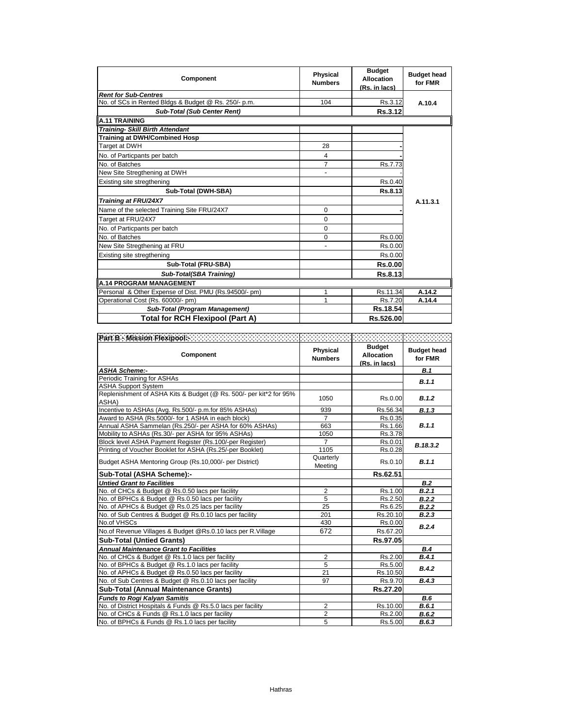| <b>Component</b>                                      | <b>Physical</b><br><b>Numbers</b> | <b>Budget</b><br><b>Allocation</b><br>(Rs. in lacs) | <b>Budget head</b><br>for FMR |
|-------------------------------------------------------|-----------------------------------|-----------------------------------------------------|-------------------------------|
| <b>Rent for Sub-Centres</b>                           |                                   |                                                     |                               |
| No. of SCs in Rented Bldgs & Budget @ Rs. 250/- p.m.  | 104                               | Rs.3.12                                             | A.10.4                        |
| <b>Sub-Total (Sub Center Rent)</b>                    |                                   | Rs.3.12                                             |                               |
| <b>A.11 TRAINING</b>                                  |                                   |                                                     |                               |
| <b>Training- Skill Birth Attendant</b>                |                                   |                                                     |                               |
| <b>Training at DWH/Combined Hosp</b>                  |                                   |                                                     |                               |
| Target at DWH                                         | 28                                |                                                     |                               |
| No. of Particpants per batch                          | 4                                 |                                                     |                               |
| No. of Batches                                        | 7                                 | Rs.7.73                                             |                               |
| New Site Stregthening at DWH                          |                                   |                                                     |                               |
| Existing site stregthening                            |                                   | Rs.0.40                                             |                               |
| Sub-Total (DWH-SBA)                                   |                                   | Rs.8.13                                             |                               |
| Training at FRU/24X7                                  |                                   |                                                     | A.11.3.1                      |
| Name of the selected Training Site FRU/24X7           | 0                                 |                                                     |                               |
| Target at FRU/24X7                                    | $\Omega$                          |                                                     |                               |
| No. of Particpants per batch                          | $\Omega$                          |                                                     |                               |
| No. of Batches                                        | 0                                 | Rs.0.00                                             |                               |
| New Site Stregthening at FRU                          |                                   | Rs.0.00                                             |                               |
| Existing site stregthening                            |                                   | Rs.0.00                                             |                               |
| Sub-Total (FRU-SBA)                                   |                                   | <b>Rs.0.00</b>                                      |                               |
| Sub-Total(SBA Training)                               |                                   | Rs.8.13                                             |                               |
| <b>A.14 PROGRAM MANAGEMENT</b>                        |                                   |                                                     |                               |
| Personal & Other Expense of Dist. PMU (Rs.94500/- pm) |                                   | Rs.11.34                                            | A.14.2                        |
| Operational Cost (Rs. 60000/- pm)                     |                                   | Rs.7.20                                             | A.14.4                        |
| Sub-Total (Program Management)                        |                                   | Rs.18.54                                            |                               |
| <b>Total for RCH Flexipool (Part A)</b>               |                                   | Rs.526.00                                           |                               |

| <b>Component</b>                                                            | Physical<br><b>Numbers</b> | <b>Budget</b><br><b>Allocation</b><br>(Rs. in lacs) | <b>Budget head</b><br>for FMR |
|-----------------------------------------------------------------------------|----------------------------|-----------------------------------------------------|-------------------------------|
| <b>ASHA Scheme:-</b>                                                        |                            |                                                     | <b>B.1</b>                    |
| Periodic Training for ASHAs                                                 |                            |                                                     | B.1.1                         |
| <b>ASHA Support System</b>                                                  |                            |                                                     |                               |
| Replenishment of ASHA Kits & Budget (@ Rs. 500/- per kit*2 for 95%<br>ASHA) | 1050                       | Rs.0.00                                             | B.1.2                         |
| Incentive to ASHAs (Avg. Rs.500/- p.m.for 85% ASHAs)                        | 939                        | Rs.56.34                                            | B.1.3                         |
| Award to ASHA (Rs.5000/- for 1 ASHA in each block)                          | $\overline{7}$             | Rs.0.35                                             |                               |
| Annual ASHA Sammelan (Rs.250/- per ASHA for 60% ASHAs)                      | 663                        | Rs.1.66                                             | B.1.1                         |
| Mobility to ASHAs (Rs.30/- per ASHA for 95% ASHAs)                          | 1050                       | Rs.3.78                                             |                               |
| Block level ASHA Payment Register (Rs.100/-per Register)                    | $\overline{7}$             | Rs.0.01                                             | B.18.3.2                      |
| Printing of Voucher Booklet for ASHA (Rs.25/-per Booklet)                   | 1105                       | Rs.0.28                                             |                               |
| Budget ASHA Mentoring Group (Rs.10,000/- per District)                      | Quarterly<br>Meeting       | Rs.0.10                                             | B.1.1                         |
| Sub-Total (ASHA Scheme):-                                                   |                            | Rs.62.51                                            |                               |
| <b>Untied Grant to Facilities</b>                                           |                            |                                                     | B.2                           |
| No. of CHCs & Budget @ Rs.0.50 lacs per facility                            | $\overline{2}$             | Rs.1.00                                             | B.2.1                         |
| No. of BPHCs & Budget @ Rs.0.50 lacs per facility                           | 5                          | Rs.2.50                                             | B.2.2                         |
| No. of APHCs & Budget @ Rs.0.25 lacs per facility                           | 25                         | Rs.6.25                                             | B.2.2                         |
| No. of Sub Centres & Budget @ Rs.0.10 lacs per facility                     | 201                        | Rs.20.10                                            | B.2.3                         |
| No.of VHSCs                                                                 | 430                        | Rs.0.00                                             | B.2.4                         |
| No.of Revenue Villages & Budget @Rs.0.10 lacs per R.Village                 | 672                        | Rs.67.20                                            |                               |
| <b>Sub-Total (Untied Grants)</b>                                            |                            | Rs.97.05                                            |                               |
| <b>Annual Maintenance Grant to Facilities</b>                               |                            |                                                     | B.4                           |
| No. of CHCs & Budget @ Rs.1.0 lacs per facility                             | $\overline{2}$             | Rs.2.00                                             | B.4.1                         |
| No. of BPHCs & Budget @ Rs.1.0 lacs per facility                            | 5                          | Rs.5.00                                             | B.4.2                         |
| No. of APHCs & Budget @ Rs.0.50 lacs per facility                           | 21                         | Rs.10.50                                            |                               |
| No. of Sub Centres & Budget @ Rs.0.10 lacs per facility                     | 97                         | Rs.9.70                                             | B.4.3                         |
| <b>Sub-Total (Annual Maintenance Grants)</b>                                |                            | Rs.27.20                                            |                               |
| <b>Funds to Rogi Kalyan Samitis</b>                                         |                            |                                                     | B.6                           |
| No. of District Hospitals & Funds @ Rs.5.0 lacs per facility                | $\overline{2}$             | Rs.10.00                                            | B.6.1                         |
| No. of CHCs & Funds @ Rs.1.0 lacs per facility                              | $\overline{2}$             | Rs.2.00                                             | B.6.2                         |
| No. of BPHCs & Funds @ Rs.1.0 lacs per facility                             | 5                          | Rs.5.00                                             | B.6.3                         |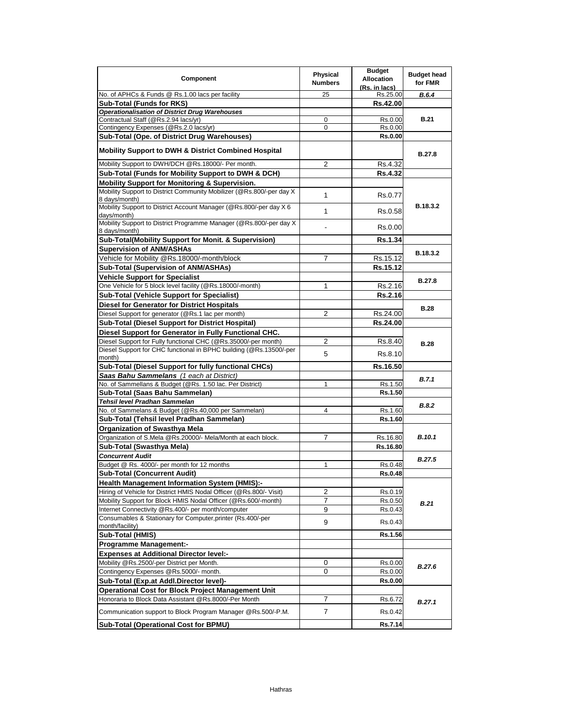| Component                                                                             | Physical<br><b>Numbers</b> | <b>Budget</b><br><b>Allocation</b><br>(Rs. in lacs) | <b>Budget head</b><br>for FMR |
|---------------------------------------------------------------------------------------|----------------------------|-----------------------------------------------------|-------------------------------|
| No. of APHCs & Funds @ Rs.1.00 lacs per facility                                      | 25                         | Rs.25.00                                            | <b>B.6.4</b>                  |
| <b>Sub-Total (Funds for RKS)</b>                                                      |                            | Rs.42.00                                            |                               |
| <b>Operationalisation of District Drug Warehouses</b>                                 |                            |                                                     |                               |
| Contractual Staff (@Rs.2.94 lacs/yr)                                                  | 0                          | Rs.0.00                                             | <b>B.21</b>                   |
| Contingency Expenses (@Rs.2.0 lacs/yr)                                                | 0                          | Rs.0.00                                             |                               |
| Sub-Total (Ope. of District Drug Warehouses)                                          |                            | <b>Rs.0.00</b>                                      |                               |
|                                                                                       |                            |                                                     |                               |
| <b>Mobility Support to DWH &amp; District Combined Hospital</b>                       |                            |                                                     | <b>B.27.8</b>                 |
| Mobility Support to DWH/DCH @Rs.18000/- Per month.                                    | 2                          | Rs.4.32                                             |                               |
| Sub-Total (Funds for Mobility Support to DWH & DCH)                                   |                            | <b>Rs.4.32</b>                                      |                               |
| Mobility Support for Monitoring & Supervision.                                        |                            |                                                     |                               |
| Mobility Support to District Community Mobilizer (@Rs.800/-per day X<br>8 days/month) | 1                          | Rs.0.77                                             |                               |
| Mobility Support to District Account Manager (@Rs.800/-per day X 6<br>days/month)     | 1                          | Rs.0.58                                             | B.18.3.2                      |
| Mobility Support to District Programme Manager (@Rs.800/-per day X<br>8 days/month)   |                            | Rs.0.00                                             |                               |
| Sub-Total(Mobility Support for Monit. & Supervision)                                  |                            | <b>Rs.1.34</b>                                      |                               |
| <b>Supervision of ANM/ASHAs</b>                                                       |                            |                                                     |                               |
| Vehicle for Mobility @Rs.18000/-month/block                                           | 7                          | Rs.15.12                                            | B.18.3.2                      |
|                                                                                       |                            |                                                     |                               |
| Sub-Total (Supervision of ANM/ASHAs)                                                  |                            | Rs.15.12                                            |                               |
| <b>Vehicle Support for Specialist</b>                                                 |                            |                                                     | <b>B.27.8</b>                 |
| One Vehicle for 5 block level facility (@Rs.18000/-month)                             | 1                          | Rs.2.16                                             |                               |
| <b>Sub-Total (Vehicle Support for Specialist)</b>                                     |                            | <b>Rs.2.16</b>                                      |                               |
| <b>Diesel for Generator for District Hospitals</b>                                    |                            |                                                     | <b>B.28</b>                   |
| Diesel Support for generator (@Rs.1 lac per month)                                    | 2                          | Rs.24.00                                            |                               |
| Sub-Total (Diesel Support for District Hospital)                                      |                            | Rs.24.00                                            |                               |
| Diesel Support for Generator in Fully Functional CHC.                                 |                            |                                                     |                               |
| Diesel Support for Fully functional CHC (@Rs.35000/-per month)                        | 2                          | Rs.8.40                                             | <b>B.28</b>                   |
| Diesel Support for CHC functional in BPHC building (@Rs.13500/-per                    | 5                          | Rs.8.10                                             |                               |
| month)                                                                                |                            |                                                     |                               |
| Sub-Total (Diesel Support for fully functional CHCs)                                  |                            | Rs.16.50                                            |                               |
| Saas Bahu Sammelans (1 each at District)                                              |                            |                                                     | B.7.1                         |
| No. of Sammellans & Budget (@Rs. 1.50 lac. Per District)                              | 1                          | Rs.1.50                                             |                               |
| Sub-Total (Saas Bahu Sammelan)                                                        |                            | Rs.1.50                                             |                               |
| Tehsil level Pradhan Sammelan                                                         |                            |                                                     | B.8.2                         |
| No. of Sammelans & Budget (@Rs.40,000 per Sammelan)                                   | 4                          | Rs.1.60                                             |                               |
| Sub-Total (Tehsil level Pradhan Sammelan)                                             |                            | Rs.1.60                                             |                               |
| Organization of Swasthya Mela                                                         |                            |                                                     |                               |
| Organization of S.Mela @Rs.20000/- Mela/Month at each block.                          | 7                          | Rs.16.80                                            | <b>B.10.1</b>                 |
| Sub-Total (Swasthya Mela)                                                             |                            | Rs.16.80                                            |                               |
| <b>Concurrent Audit</b>                                                               |                            |                                                     | <b>B.27.5</b>                 |
| Budget @ Rs. 4000/- per month for 12 months                                           | 1                          | Rs.0.48                                             |                               |
| <b>Sub-Total (Concurrent Audit)</b>                                                   |                            | <b>Rs.0.48</b>                                      |                               |
| Health Management Information System (HMIS):-                                         |                            |                                                     |                               |
| Hiring of Vehicle for District HMIS Nodal Officer (@Rs.800/- Visit)                   | $\overline{\mathbf{c}}$    | Rs.0.19                                             |                               |
| Mobility Support for Block HMIS Nodal Officer (@Rs.600/-month)                        | 7                          | Rs.0.50                                             | B.21                          |
| Internet Connectivity @Rs.400/- per month/computer                                    | 9                          | Rs.0.43                                             |                               |
| Consumables & Stationary for Computer, printer (Rs.400/-per<br>month/facility)        | 9                          | Rs.0.43                                             |                               |
| Sub-Total (HMIS)                                                                      |                            | Rs.1.56                                             |                               |
| <b>Programme Management:-</b>                                                         |                            |                                                     |                               |
| <b>Expenses at Additional Director level:-</b>                                        |                            |                                                     |                               |
| Mobility @Rs.2500/-per District per Month.                                            | 0                          | Rs.0.00                                             |                               |
| Contingency Expenses @Rs.5000/- month.                                                | 0                          | Rs.0.00                                             | <b>B.27.6</b>                 |
| Sub-Total (Exp.at Addl.Director level)-                                               |                            | <b>Rs.0.00</b>                                      |                               |
| <b>Operational Cost for Block Project Management Unit</b>                             |                            |                                                     |                               |
| Honoraria to Block Data Assistant @Rs.8000/-Per Month                                 | 7                          | Rs.6.72                                             |                               |
|                                                                                       |                            |                                                     | B.27.1                        |
| Communication support to Block Program Manager @Rs.500/-P.M.                          | 7                          | Rs.0.42                                             |                               |
| Sub-Total (Operational Cost for BPMU)                                                 |                            | Rs.7.14                                             |                               |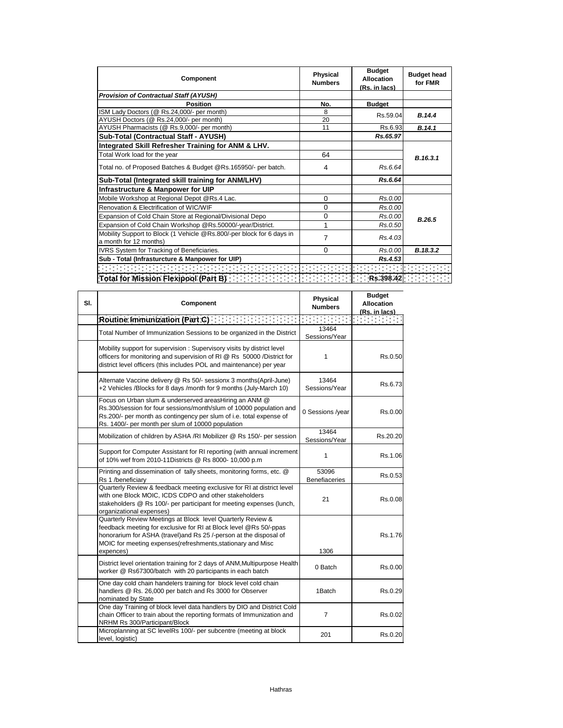| Component                                                                                       | <b>Physical</b><br><b>Numbers</b> | <b>Budget</b><br>Allocation<br>(Rs. in lacs) | <b>Budget head</b><br>for FMR |
|-------------------------------------------------------------------------------------------------|-----------------------------------|----------------------------------------------|-------------------------------|
| <b>Provision of Contractual Staff (AYUSH)</b>                                                   |                                   |                                              |                               |
| <b>Position</b>                                                                                 | No.                               | <b>Budget</b>                                |                               |
| ISM Lady Doctors (@ Rs.24,000/- per month)                                                      | 8                                 | Rs.59.04                                     | B.14.4                        |
| AYUSH Doctors (@ Rs.24,000/- per month)                                                         | 20                                |                                              |                               |
| AYUSH Pharmacists (@ Rs.9,000/- per month)                                                      | 11                                | Rs.6.93                                      | B.14.1                        |
| Sub-Total (Contractual Staff - AYUSH)                                                           |                                   | Rs.65.97                                     |                               |
| Integrated Skill Refresher Training for ANM & LHV.                                              |                                   |                                              |                               |
| Total Work load for the year                                                                    | 64                                |                                              | B.16.3.1                      |
| Total no. of Proposed Batches & Budget @Rs.165950/- per batch.                                  | 4                                 | Rs.6.64                                      |                               |
| Sub-Total (Integrated skill training for ANM/LHV)                                               |                                   | Rs.6.64                                      |                               |
| Infrastructure & Manpower for UIP                                                               |                                   |                                              |                               |
| Mobile Workshop at Regional Depot @Rs.4 Lac.                                                    | $\Omega$                          | Rs.0.00                                      |                               |
| Renovation & Electrification of WIC/WIF                                                         | $\Omega$                          | Rs.0.00                                      |                               |
| Expansion of Cold Chain Store at Regional/Divisional Depo                                       | 0                                 | Rs.0.00                                      | B.26.5                        |
| Expansion of Cold Chain Workshop @Rs.50000/-year/District.                                      | 1                                 | Rs.0.50                                      |                               |
| Mobility Support to Block (1 Vehicle @Rs.800/-per block for 6 days in<br>a month for 12 months) | 7                                 | Rs.4.03                                      |                               |
| IVRS System for Tracking of Beneficiaries.                                                      | $\Omega$                          | Rs.0.00                                      | B.18.3.2                      |
| Sub - Total (Infrasturcture & Manpower for UIP)                                                 |                                   | Rs.4.53                                      |                               |
|                                                                                                 |                                   |                                              |                               |
| Total for Mission Flexipool (Part B) <b>The Contract of Street Street Street</b>                |                                   | Rs.398.42                                    |                               |

| SI. | Component                                                                                                                                                                                                                                                                          | <b>Physical</b><br><b>Numbers</b> | <b>Budget</b><br><b>Allocation</b><br>(Rs. in lacs) |
|-----|------------------------------------------------------------------------------------------------------------------------------------------------------------------------------------------------------------------------------------------------------------------------------------|-----------------------------------|-----------------------------------------------------|
|     |                                                                                                                                                                                                                                                                                    |                                   |                                                     |
|     | Total Number of Immunization Sessions to be organized in the District                                                                                                                                                                                                              | 13464<br>Sessions/Year            |                                                     |
|     | Mobility support for supervision : Supervisory visits by district level<br>officers for monitoring and supervision of RI @ Rs 50000 /District for<br>district level officers (this includes POL and maintenance) per year                                                          | 1                                 | Rs.0.50                                             |
|     | Alternate Vaccine delivery @ Rs 50/- sessionx 3 months(April-June)<br>+2 Vehicles /Blocks for 8 days /month for 9 months (July-March 10)                                                                                                                                           | 13464<br>Sessions/Year            | Rs.6.73                                             |
|     | Focus on Urban slum & underserved areasHiring an ANM @<br>Rs.300/session for four sessions/month/slum of 10000 population and<br>Rs.200/- per month as contingency per slum of i.e. total expense of<br>Rs. 1400/- per month per slum of 10000 population                          | 0 Sessions /year                  | Rs.0.00                                             |
|     | Mobilization of children by ASHA /RI Mobilizer @ Rs 150/- per session                                                                                                                                                                                                              | 13464<br>Sessions/Year            | Rs.20.20                                            |
|     | Support for Computer Assistant for RI reporting (with annual increment<br>of 10% wef from 2010-11Districts @ Rs 8000-10,000 p.m                                                                                                                                                    | $\mathbf{1}$                      | Rs.1.06                                             |
|     | Printing and dissemination of tally sheets, monitoring forms, etc. @<br>Rs 1 /beneficiary                                                                                                                                                                                          | 53096<br><b>Benefiaceries</b>     | Rs.0.53                                             |
|     | Quarterly Review & feedback meeting exclusive for RI at district level<br>with one Block MOIC, ICDS CDPO and other stakeholders<br>stakeholders @ Rs 100/- per participant for meeting expenses (lunch,<br>organizational expenses)                                                | 21                                | Rs.0.08                                             |
|     | Quarterly Review Meetings at Block level Quarterly Review &<br>feedback meeting for exclusive for RI at Block level @Rs 50/-ppas<br>honorarium for ASHA (travel)and Rs 25 /-person at the disposal of<br>MOIC for meeting expenses (refreshments, stationary and Misc<br>expences) | 1306                              | Rs.1.76                                             |
|     | District level orientation training for 2 days of ANM, Multipurpose Health<br>worker @ Rs67300/batch with 20 participants in each batch                                                                                                                                            | 0 Batch                           | Rs.0.00                                             |
|     | One day cold chain handelers training for block level cold chain<br>handlers @ Rs. 26,000 per batch and Rs 3000 for Observer<br>nominated by State                                                                                                                                 | 1Batch                            | Rs.0.29                                             |
|     | One day Training of block level data handlers by DIO and District Cold<br>chain Officer to train about the reporting formats of Immunization and<br>NRHM Rs 300/Participant/Block                                                                                                  | 7                                 | Rs.0.02                                             |
|     | Microplanning at SC levelRs 100/- per subcentre (meeting at block<br>level, logistic)                                                                                                                                                                                              | 201                               | Rs.0.20                                             |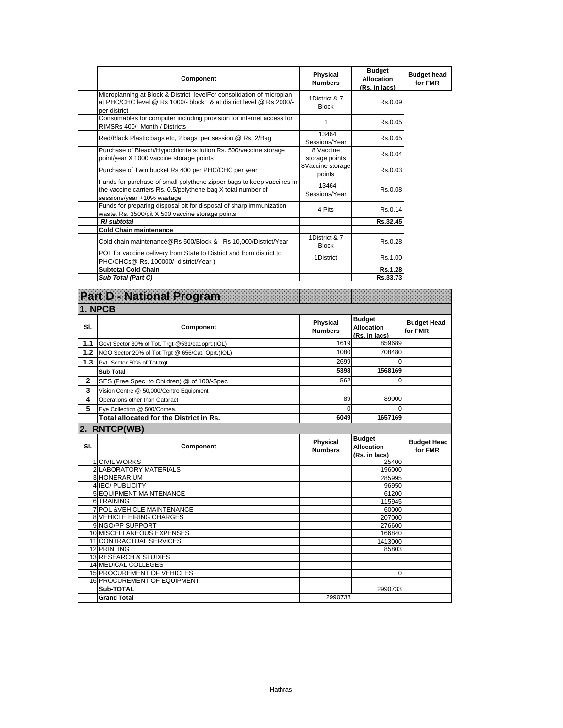| Component                                                                                                                                                           | Physical<br><b>Numbers</b>    | <b>Budget</b><br><b>Allocation</b><br>(Rs. in lacs) | <b>Budget head</b><br>for FMR |
|---------------------------------------------------------------------------------------------------------------------------------------------------------------------|-------------------------------|-----------------------------------------------------|-------------------------------|
| Microplanning at Block & District levelFor consolidation of microplan<br>at PHC/CHC level @ Rs 1000/- block & at district level @ Rs 2000/-<br>per district         | 1District & 7<br><b>Block</b> | Rs.0.09                                             |                               |
| Consumables for computer including provision for internet access for<br>RIMSRs 400/- Month / Districts                                                              | 1                             | Rs.0.05                                             |                               |
| Red/Black Plastic bags etc, 2 bags per session @ Rs. 2/Bag                                                                                                          | 13464<br>Sessions/Year        | Rs.0.65                                             |                               |
| Purchase of Bleach/Hypochlorite solution Rs. 500/vaccine storage<br>point/year X 1000 vaccine storage points                                                        | 8 Vaccine<br>storage points   | Rs.0.04                                             |                               |
| Purchase of Twin bucket Rs 400 per PHC/CHC per year                                                                                                                 | 8Vaccine storage<br>points    | Rs.0.03                                             |                               |
| Funds for purchase of small polythene zipper bags to keep vaccines in<br>the vaccine carriers Rs. 0.5/polythene bag X total number of<br>sessions/year +10% wastage | 13464<br>Sessions/Year        | Rs.0.08                                             |                               |
| Funds for preparing disposal pit for disposal of sharp immunization<br>waste. Rs. 3500/pit X 500 vaccine storage points                                             | 4 Pits                        | Rs.0.14                                             |                               |
| <b>RI</b> subtotal                                                                                                                                                  |                               | Rs.32.45                                            |                               |
| <b>Cold Chain maintenance</b>                                                                                                                                       |                               |                                                     |                               |
| Cold chain maintenance@Rs 500/Block & Rs 10,000/District/Year                                                                                                       | 1District & 7<br><b>Block</b> | Rs.0.28                                             |                               |
| POL for vaccine delivery from State to District and from district to<br>PHC/CHCs@ Rs. 100000/- district/Year)                                                       | 1District                     | Rs.1.00                                             |                               |
| <b>Subtotal Cold Chain</b>                                                                                                                                          |                               | <b>Rs.1.28</b>                                      |                               |
| Sub Total (Part C)                                                                                                                                                  |                               | Rs.33.73                                            |                               |

|              | Part D - National Program                            |                                   |                                                     |                               |
|--------------|------------------------------------------------------|-----------------------------------|-----------------------------------------------------|-------------------------------|
|              | 1. NPCB                                              |                                   |                                                     |                               |
| SI.          | Component                                            | Physical<br><b>Numbers</b>        | <b>Budget</b><br><b>Allocation</b><br>(Rs. in lacs) | <b>Budget Head</b><br>for FMR |
| 1.1          | Govt Sector 30% of Tot. Trgt @531/cat.oprt.(IOL)     | 1619                              | 859689                                              |                               |
| 1.2          | NGO Sector 20% of Tot Trgt @ 656/Cat. Oprt.(IOL)     | 1080                              | 708480                                              |                               |
| 1.3          | Pvt. Sector 50% of Tot trgt.                         | 2699                              | $\Omega$                                            |                               |
|              | <b>Sub Total</b>                                     | 5398                              | 1568169                                             |                               |
| $\mathbf{2}$ | SES (Free Spec. to Children) @ of 100/-Spec          | 562                               | 0                                                   |                               |
| 3            | Vision Centre @ 50,000/Centre Equipment              |                                   |                                                     |                               |
| 4            | Operations other than Cataract                       | 89                                | 89000                                               |                               |
| 5            | Eye Collection @ 500/Cornea.                         | $\Omega$                          | $\Omega$                                            |                               |
|              | Total allocated for the District in Rs.              | 6049                              | 1657169                                             |                               |
|              | 2. RNTCP(WB)                                         |                                   |                                                     |                               |
| SI.          | Component                                            | <b>Physical</b><br><b>Numbers</b> | <b>Budget</b><br><b>Allocation</b>                  | <b>Budget Head</b><br>for FMR |
|              |                                                      |                                   | (Rs. in lacs)                                       |                               |
|              | <b>1 CIVIL WORKS</b>                                 |                                   | 25400                                               |                               |
|              | <b>2 LABORATORY MATERIALS</b>                        |                                   | 196000                                              |                               |
|              | 3 HONERARIUM                                         |                                   | 285995                                              |                               |
|              | 4 IEC/PUBLICITY                                      |                                   | 96950                                               |                               |
|              | 5 EQUIPMENT MAINTENANCE                              |                                   | 61200                                               |                               |
|              | 6 TRAINING<br><b>7 POL &amp; VEHICLE MAINTENANCE</b> |                                   | 115945<br>60000                                     |                               |
|              | <b>8 VEHICLE HIRING CHARGES</b>                      |                                   | 207000                                              |                               |
|              | 9 NGO/PP SUPPORT                                     |                                   | 276600                                              |                               |
|              | 10 MISCELLANEOUS EXPENSES                            |                                   | 166840                                              |                               |
|              | 11 CONTRACTUAL SERVICES                              |                                   | 1413000                                             |                               |
|              | 12 PRINTING                                          |                                   | 85803                                               |                               |
|              | 13 RESEARCH & STUDIES                                |                                   |                                                     |                               |
|              | <b>14 MEDICAL COLLEGES</b>                           |                                   |                                                     |                               |
|              | 15 PROCUREMENT OF VEHICLES                           |                                   | $\Omega$                                            |                               |
|              | 16 PROCUREMENT OF EQUIPMENT<br>Sub-TOTAL             |                                   | 2990733                                             |                               |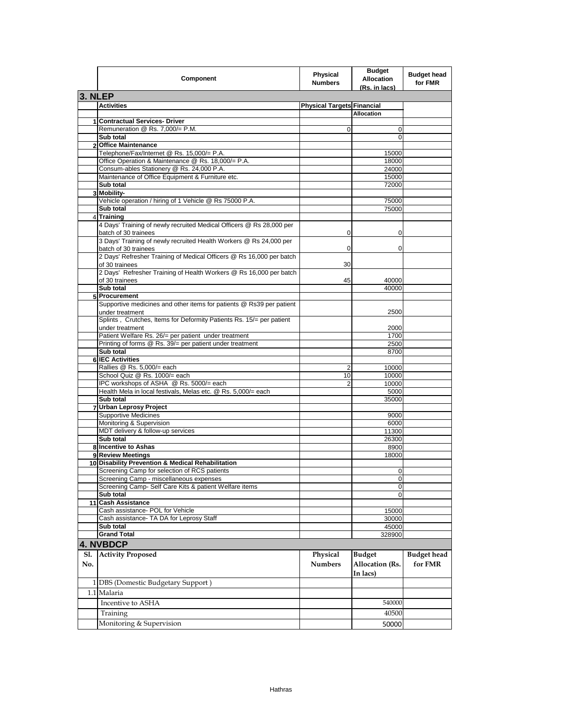| Component                                                                                         | <b>Physical</b><br><b>Numbers</b> | <b>Budget</b><br><b>Allocation</b><br>(Rs. in lacs) | <b>Budget head</b><br>for FMR |
|---------------------------------------------------------------------------------------------------|-----------------------------------|-----------------------------------------------------|-------------------------------|
| 3. NLEP                                                                                           |                                   |                                                     |                               |
| <b>Activities</b>                                                                                 | <b>Physical Targets Financial</b> |                                                     |                               |
|                                                                                                   |                                   | <b>Allocation</b>                                   |                               |
| 1 Contractual Services- Driver                                                                    |                                   |                                                     |                               |
| Remuneration @ Rs. 7,000/= P.M.                                                                   | $\mathbf 0$                       | 0                                                   |                               |
| Sub total                                                                                         |                                   | 0                                                   |                               |
| 2 Office Maintenance                                                                              |                                   |                                                     |                               |
| Telephone/Fax/Internet @ Rs. 15,000/= P.A.<br>Office Operation & Maintenance @ Rs. 18,000/= P.A.  |                                   | 15000                                               |                               |
|                                                                                                   |                                   | 18000                                               |                               |
| Consum-ables Stationery @ Rs. 24,000 P.A.<br>Maintenance of Office Equipment & Furniture etc.     |                                   | 24000<br>15000                                      |                               |
| Sub total                                                                                         |                                   | 72000                                               |                               |
| 3 Mobility-                                                                                       |                                   |                                                     |                               |
| Vehicle operation / hiring of 1 Vehicle @ Rs 75000 P.A.                                           |                                   | 75000                                               |                               |
| Sub total                                                                                         |                                   | 75000                                               |                               |
| 4 Training                                                                                        |                                   |                                                     |                               |
| 4 Days' Training of newly recruited Medical Officers @ Rs 28,000 per                              |                                   |                                                     |                               |
| batch of 30 trainees                                                                              | 0                                 | 0                                                   |                               |
| 3 Days' Training of newly recruited Health Workers @ Rs 24,000 per<br>batch of 30 trainees        | 0                                 | 0                                                   |                               |
| 2 Days' Refresher Training of Medical Officers @ Rs 16,000 per batch                              |                                   |                                                     |                               |
| of 30 trainees                                                                                    | 30                                |                                                     |                               |
| 2 Days' Refresher Training of Health Workers @ Rs 16,000 per batch                                |                                   |                                                     |                               |
| of 30 trainees                                                                                    | 45                                | 40000                                               |                               |
| Sub total                                                                                         |                                   | 40000                                               |                               |
| 5 Procurement                                                                                     |                                   |                                                     |                               |
| Supportive medicines and other items for patients @ Rs39 per patient                              |                                   |                                                     |                               |
| under treatment                                                                                   |                                   | 2500                                                |                               |
| Splints, Crutches, Items for Deformity Patients Rs. 15/= per patient                              |                                   |                                                     |                               |
| under treatment<br>Patient Welfare Rs. 26/= per patient under treatment                           |                                   | 2000<br>1700                                        |                               |
| Printing of forms @ Rs. 39/= per patient under treatment                                          |                                   | 2500                                                |                               |
| Sub total                                                                                         |                                   | 8700                                                |                               |
| 6 IEC Activities                                                                                  |                                   |                                                     |                               |
| Rallies @ Rs. 5,000/= each                                                                        | 2                                 | 10000                                               |                               |
| School Quiz @ Rs. 1000/= each                                                                     | 10                                | 10000                                               |                               |
| IPC workshops of ASHA @ Rs. 5000/= each                                                           | $\overline{2}$                    | 10000                                               |                               |
| Health Mela in local festivals, Melas etc. @ Rs. 5,000/= each                                     |                                   | 5000                                                |                               |
| Sub total                                                                                         |                                   | 35000                                               |                               |
| 7 Urban Leprosy Project                                                                           |                                   |                                                     |                               |
| <b>Supportive Medicines</b>                                                                       |                                   | 9000                                                |                               |
| Monitoring & Supervision                                                                          |                                   | 6000                                                |                               |
| MDT delivery & follow-up services                                                                 |                                   | 11300                                               |                               |
| Sub total                                                                                         |                                   | 26300                                               |                               |
| 8 Incentive to Ashas                                                                              |                                   | 8900                                                |                               |
| 9 Review Meetings                                                                                 |                                   | 18000                                               |                               |
| 10 Disability Prevention & Medical Rehabilitation                                                 |                                   |                                                     |                               |
| Screening Camp for selection of RCS patients                                                      |                                   | $\Omega$                                            |                               |
| Screening Camp - miscellaneous expenses<br>Screening Camp- Self Care Kits & patient Welfare items |                                   | $\mathbf 0$                                         |                               |
|                                                                                                   |                                   | 0                                                   |                               |
| Sub total<br>11 Cash Assistance                                                                   |                                   | $\mathbf 0$                                         |                               |
| Cash assistance- POL for Vehicle                                                                  |                                   | 15000                                               |                               |
| Cash assistance- TA DA for Leprosy Staff                                                          |                                   | 30000                                               |                               |
| Sub total                                                                                         |                                   | 45000                                               |                               |
| <b>Grand Total</b>                                                                                |                                   | 328900                                              |                               |
|                                                                                                   |                                   |                                                     |                               |
| <b>4. NVBDCP</b>                                                                                  |                                   |                                                     |                               |
| <b>Activity Proposed</b><br>Sl.<br>No.                                                            | Physical<br><b>Numbers</b>        | <b>Budget</b><br>Allocation (Rs.<br>In lacs)        | <b>Budget</b> head<br>for FMR |
| 1 DBS (Domestic Budgetary Support)                                                                |                                   |                                                     |                               |
|                                                                                                   |                                   |                                                     |                               |
|                                                                                                   |                                   |                                                     |                               |
| 1.1 Malaria                                                                                       |                                   |                                                     |                               |
| Incentive to ASHA                                                                                 |                                   | 540000                                              |                               |
| Training<br>Monitoring & Supervision                                                              |                                   | 40500                                               |                               |